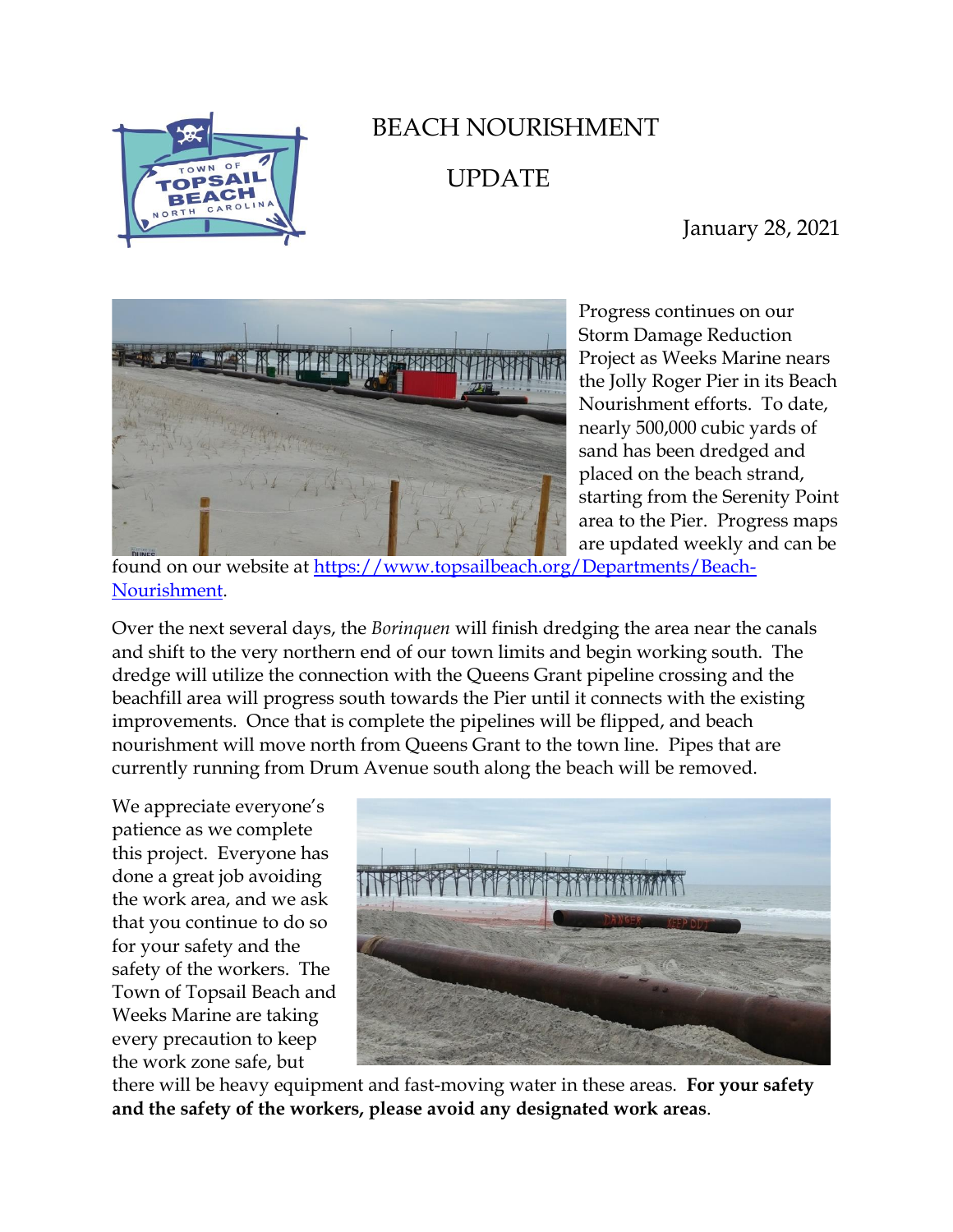

## BEACH NOURISHMENT UPDATE

January 28, 2021



Progress continues on our Storm Damage Reduction Project as Weeks Marine nears the Jolly Roger Pier in its Beach Nourishment efforts. To date, nearly 500,000 cubic yards of sand has been dredged and placed on the beach strand, starting from the Serenity Point area to the Pier. Progress maps are updated weekly and can be

found on our website at [https://www.topsailbeach.org/Departments/Beach-](https://www.topsailbeach.org/Departments/Beach-Nourishment)[Nourishment.](https://www.topsailbeach.org/Departments/Beach-Nourishment)

Over the next several days, the *Borinquen* will finish dredging the area near the canals and shift to the very northern end of our town limits and begin working south. The dredge will utilize the connection with the Queens Grant pipeline crossing and the beachfill area will progress south towards the Pier until it connects with the existing improvements. Once that is complete the pipelines will be flipped, and beach nourishment will move north from Queens Grant to the town line. Pipes that are currently running from Drum Avenue south along the beach will be removed.

We appreciate everyone's patience as we complete this project. Everyone has done a great job avoiding the work area, and we ask that you continue to do so for your safety and the safety of the workers. The Town of Topsail Beach and Weeks Marine are taking every precaution to keep the work zone safe, but



there will be heavy equipment and fast-moving water in these areas. **For your safety and the safety of the workers, please avoid any designated work areas**.